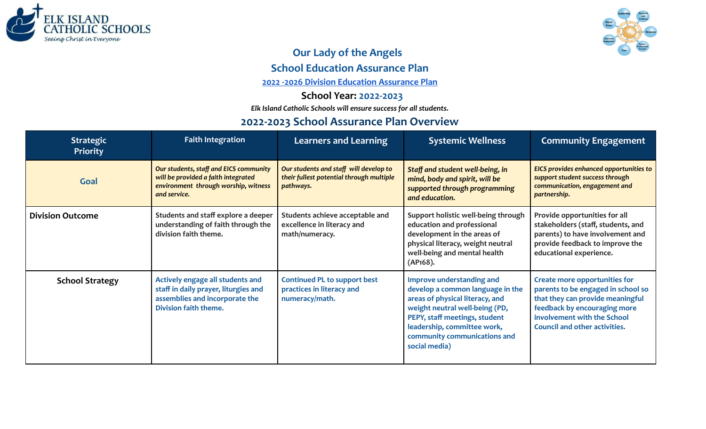



## **Our Lady of the Angels**

**School Education Assurance Plan**

**2022 -2026 Division Education [Assurance](https://docs.google.com/spreadsheets/d/11pgLBCGjrgKgvFpBeRiUcGW-VjZavmwqHdEIHkg729A/edit?usp=sharing) Plan**

**School Year: 2022-2023**

*Elk Island Catholic Schools will ensure success for all students.*

## **2022-2023 School Assurance Plan Overview**

| <b>Strategic</b><br><b>Priority</b> | <b>Faith Integration</b>                                                                                                              | <b>Learners and Learning</b>                                                                    | <b>Systemic Wellness</b>                                                                                                                                                                                                                            | <b>Community Engagement</b>                                                                                                                                                                                           |
|-------------------------------------|---------------------------------------------------------------------------------------------------------------------------------------|-------------------------------------------------------------------------------------------------|-----------------------------------------------------------------------------------------------------------------------------------------------------------------------------------------------------------------------------------------------------|-----------------------------------------------------------------------------------------------------------------------------------------------------------------------------------------------------------------------|
| Goal                                | Our students, staff and EICS community<br>will be provided a faith integrated<br>environment through worship, witness<br>and service. | Our students and staff will develop to<br>their fullest potential through multiple<br>pathways. | Staff and student well-being, in<br>mind, body and spirit, will be<br>supported through programming<br>and education.                                                                                                                               | EICS provides enhanced opportunities to<br>support student success through<br>communication, engagement and<br>partnership.                                                                                           |
| <b>Division Outcome</b>             | Students and staff explore a deeper<br>understanding of faith through the<br>division faith theme.                                    | Students achieve acceptable and<br>excellence in literacy and<br>math/numeracy.                 | Support holistic well-being through<br>education and professional<br>development in the areas of<br>physical literacy, weight neutral<br>well-being and mental health<br>(AP168).                                                                   | Provide opportunities for all<br>stakeholders (staff, students, and<br>parents) to have involvement and<br>provide feedback to improve the<br>educational experience.                                                 |
| <b>School Strategy</b>              | Actively engage all students and<br>staff in daily prayer, liturgies and<br>assemblies and incorporate the<br>Division faith theme.   | <b>Continued PL to support best</b><br>practices in literacy and<br>numeracy/math.              | Improve understanding and<br>develop a common language in the<br>areas of physical literacy, and<br>weight neutral well-being (PD,<br>PEPY, staff meetings, student<br>leadership, committee work,<br>community communications and<br>social media) | <b>Create more opportunities for</b><br>parents to be engaged in school so<br>that they can provide meaningful<br>feedback by encouraging more<br>involvement with the School<br><b>Council and other activities.</b> |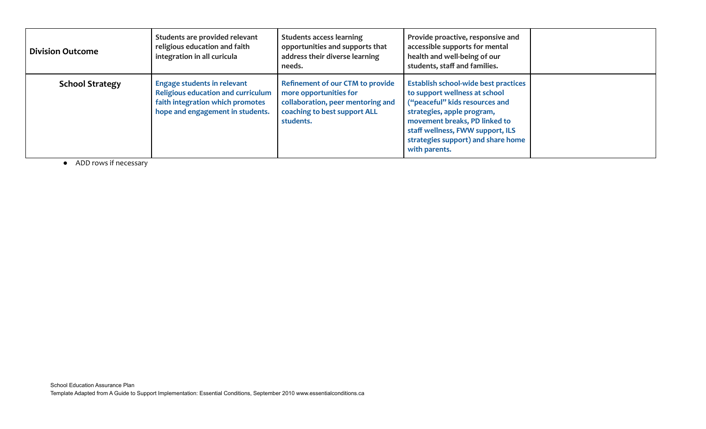| <b>Division Outcome</b> | Students are provided relevant<br>religious education and faith<br>integration in all curicula                                                          | <b>Students access learning</b><br>opportunities and supports that<br>address their diverse learning<br>needs.                                      | Provide proactive, responsive and<br>accessible supports for mental<br>health and well-being of our<br>students, staff and families.                                                                                                                                     |  |
|-------------------------|---------------------------------------------------------------------------------------------------------------------------------------------------------|-----------------------------------------------------------------------------------------------------------------------------------------------------|--------------------------------------------------------------------------------------------------------------------------------------------------------------------------------------------------------------------------------------------------------------------------|--|
| <b>School Strategy</b>  | <b>Engage students in relevant</b><br><b>Religious education and curriculum</b><br>faith integration which promotes<br>hope and engagement in students. | <b>Refinement of our CTM to provide</b><br>more opportunities for<br>collaboration, peer mentoring and<br>coaching to best support ALL<br>students. | <b>Establish school-wide best practices</b><br>to support wellness at school<br>("peaceful" kids resources and<br>strategies, apple program,<br>movement breaks, PD linked to<br>staff wellness, FWW support, ILS<br>strategies support) and share home<br>with parents. |  |

● ADD rows if necessary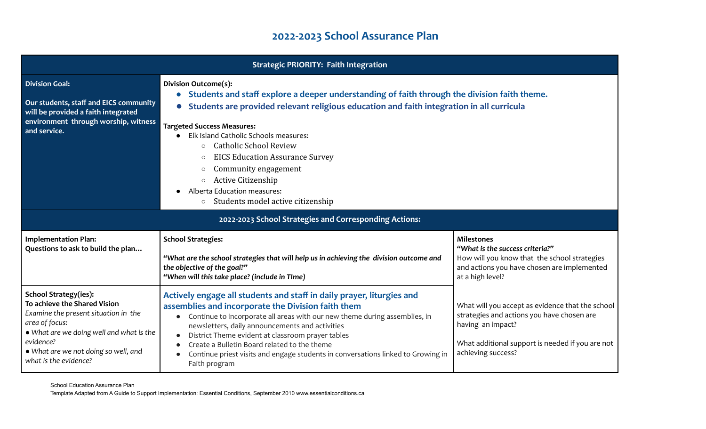## **2022-2023 School Assurance Plan**

|                                                                                                                                                                                                                                                  | <b>Strategic PRIORITY: Faith Integration</b>                                                                                                                                                                                                                                                                                                                                                                                                                                                                                                               |                                                                                                                                                                                               |
|--------------------------------------------------------------------------------------------------------------------------------------------------------------------------------------------------------------------------------------------------|------------------------------------------------------------------------------------------------------------------------------------------------------------------------------------------------------------------------------------------------------------------------------------------------------------------------------------------------------------------------------------------------------------------------------------------------------------------------------------------------------------------------------------------------------------|-----------------------------------------------------------------------------------------------------------------------------------------------------------------------------------------------|
| <b>Division Goal:</b><br>Our students, staff and EICS community<br>will be provided a faith integrated<br>environment through worship, witness<br>and service.                                                                                   | <b>Division Outcome(s):</b><br>Students and staff explore a deeper understanding of faith through the division faith theme.<br>Students are provided relevant religious education and faith integration in all curricula<br><b>Targeted Success Measures:</b><br>Elk Island Catholic Schools measures:<br><b>Catholic School Review</b><br>$\circ$<br><b>EICS Education Assurance Survey</b><br>$\circ$<br>Community engagement<br>$\circ$<br>Active Citizenship<br>$\circ$<br>Alberta Education measures:<br>Students model active citizenship<br>$\circ$ |                                                                                                                                                                                               |
|                                                                                                                                                                                                                                                  | 2022-2023 School Strategies and Corresponding Actions:                                                                                                                                                                                                                                                                                                                                                                                                                                                                                                     |                                                                                                                                                                                               |
| <b>Implementation Plan:</b><br>Questions to ask to build the plan                                                                                                                                                                                | <b>School Strategies:</b><br>"What are the school strategies that will help us in achieving the division outcome and<br>the objective of the goal?"<br>"When will this take place? (include in TIme)                                                                                                                                                                                                                                                                                                                                                       | <b>Milestones</b><br>"What is the success criteria?"<br>How will you know that the school strategies<br>and actions you have chosen are implemented<br>at a high level?                       |
| <b>School Strategy(ies):</b><br>To achieve the Shared Vision<br>Examine the present situation in the<br>area of focus:<br>. What are we doing well and what is the<br>evidence?<br>. What are we not doing so well, and<br>what is the evidence? | Actively engage all students and staff in daily prayer, liturgies and<br>assemblies and incorporate the Division faith them<br>Continue to incorporate all areas with our new theme during assemblies, in<br>$\bullet$<br>newsletters, daily announcements and activities<br>District Theme evident at classroom prayer tables<br>$\bullet$<br>Create a Bulletin Board related to the theme<br>$\bullet$<br>Continue priest visits and engage students in conversations linked to Growing in<br>Faith program                                              | What will you accept as evidence that the school<br>strategies and actions you have chosen are<br>having an impact?<br>What additional support is needed if you are not<br>achieving success? |

School Education Assurance Plan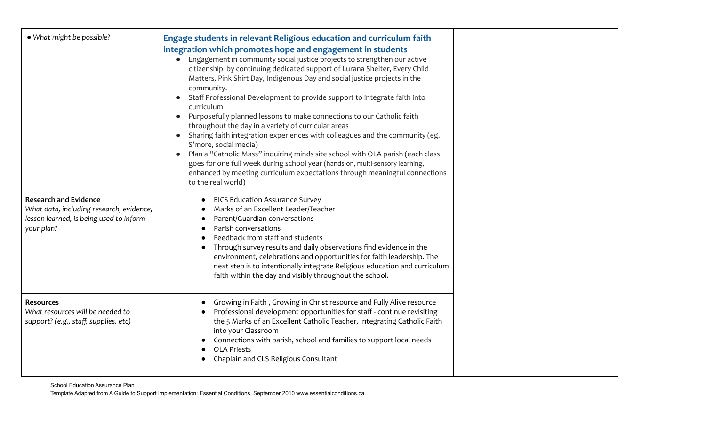| • What might be possible?                                                                                                         | Engage students in relevant Religious education and curriculum faith<br>integration which promotes hope and engagement in students<br>Engagement in community social justice projects to strengthen our active<br>citizenship by continuing dedicated support of Lurana Shelter, Every Child<br>Matters, Pink Shirt Day, Indigenous Day and social justice projects in the<br>community.<br>Staff Professional Development to provide support to integrate faith into<br>curriculum<br>Purposefully planned lessons to make connections to our Catholic faith<br>throughout the day in a variety of curricular areas<br>Sharing faith integration experiences with colleagues and the community (eg.<br>S'more, social media)<br>Plan a "Catholic Mass" inquiring minds site school with OLA parish (each class<br>goes for one full week during school year (hands-on, multi-sensory learning,<br>enhanced by meeting curriculum expectations through meaningful connections<br>to the real world) |  |
|-----------------------------------------------------------------------------------------------------------------------------------|-----------------------------------------------------------------------------------------------------------------------------------------------------------------------------------------------------------------------------------------------------------------------------------------------------------------------------------------------------------------------------------------------------------------------------------------------------------------------------------------------------------------------------------------------------------------------------------------------------------------------------------------------------------------------------------------------------------------------------------------------------------------------------------------------------------------------------------------------------------------------------------------------------------------------------------------------------------------------------------------------------|--|
| <b>Research and Evidence</b><br>What data, including research, evidence,<br>lesson learned, is being used to inform<br>your plan? | <b>EICS Education Assurance Survey</b><br>Marks of an Excellent Leader/Teacher<br>Parent/Guardian conversations<br>Parish conversations<br>Feedback from staff and students<br>Through survey results and daily observations find evidence in the<br>environment, celebrations and opportunities for faith leadership. The<br>next step is to intentionally integrate Religious education and curriculum<br>faith within the day and visibly throughout the school.                                                                                                                                                                                                                                                                                                                                                                                                                                                                                                                                 |  |
| <b>Resources</b><br>What resources will be needed to<br>support? (e.g., staff, supplies, etc)                                     | Growing in Faith, Growing in Christ resource and Fully Alive resource<br>Professional development opportunities for staff - continue revisiting<br>the 5 Marks of an Excellent Catholic Teacher, Integrating Catholic Faith<br>into your Classroom<br>Connections with parish, school and families to support local needs<br><b>OLA Priests</b><br>Chaplain and CLS Religious Consultant                                                                                                                                                                                                                                                                                                                                                                                                                                                                                                                                                                                                            |  |

School Education Assurance Plan Template Adapted from A Guide to Support Implementation: Essential Conditions, September 2010 www.essentialconditions.ca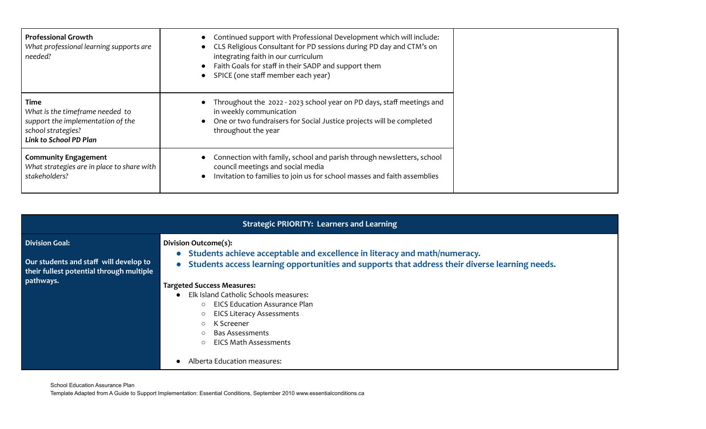| <b>Professional Growth</b><br>What professional learning supports are<br>needed?                                             | Continued support with Professional Development which will include:<br>• CLS Religious Consultant for PD sessions during PD day and CTM's on<br>integrating faith in our curriculum<br>Faith Goals for staff in their SADP and support them<br>SPICE (one staff member each year) |
|------------------------------------------------------------------------------------------------------------------------------|-----------------------------------------------------------------------------------------------------------------------------------------------------------------------------------------------------------------------------------------------------------------------------------|
| Time<br>What is the timeframe needed to<br>support the implementation of the<br>school strategies?<br>Link to School PD Plan | • Throughout the 2022 - 2023 school year on PD days, staff meetings and<br>in weekly communication<br>One or two fundraisers for Social Justice projects will be completed<br>throughout the year                                                                                 |
| <b>Community Engagement</b><br>What strategies are in place to share with<br>stakeholders?                                   | Connection with family, school and parish through newsletters, school<br>council meetings and social media<br>Invitation to families to join us for school masses and faith assemblies                                                                                            |

|                                                                                                                          | <b>Strategic PRIORITY: Learners and Learning</b>                                                                                                                                                                                                                                                                                                                                                                                                                                                 |
|--------------------------------------------------------------------------------------------------------------------------|--------------------------------------------------------------------------------------------------------------------------------------------------------------------------------------------------------------------------------------------------------------------------------------------------------------------------------------------------------------------------------------------------------------------------------------------------------------------------------------------------|
| <b>Division Goal:</b><br>Our students and staff will develop to<br>their fullest potential through multiple<br>pathways. | Division Outcome(s):<br>• Students achieve acceptable and excellence in literacy and math/numeracy.<br>• Students access learning opportunities and supports that address their diverse learning needs.<br><b>Targeted Success Measures:</b><br>Elk Island Catholic Schools measures:<br>○ EICS Education Assurance Plan<br><b>EICS Literacy Assessments</b><br>K Screener<br>$\circ$<br>Bas Assessments<br>$\circ$<br><b>EICS Math Assessments</b><br>$\bigcirc$<br>Alberta Education measures: |

School Education Assurance Plan Template Adapted from A Guide to Support Implementation: Essential Conditions, September 2010 www.essentialconditions.ca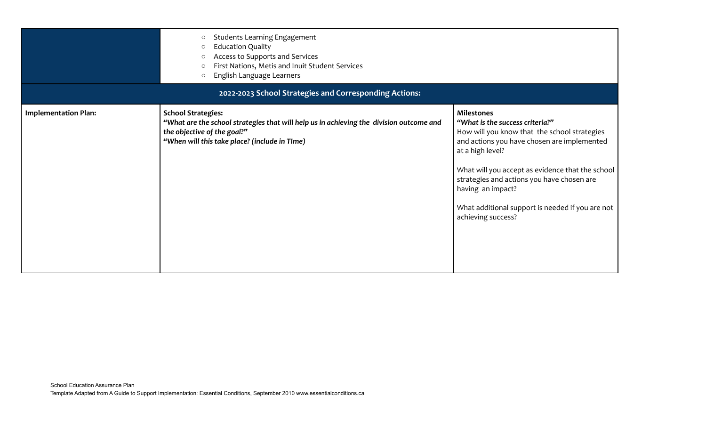|                             | <b>Students Learning Engagement</b><br>$\circlearrowright$<br><b>Education Quality</b><br>∩<br>Access to Supports and Services<br>∩<br>First Nations, Metis and Inuit Student Services<br>English Language Learners<br>$\circ$<br>2022-2023 School Strategies and Corresponding Actions: |                                                                                                                                                                                                                                                                                                                                                                          |
|-----------------------------|------------------------------------------------------------------------------------------------------------------------------------------------------------------------------------------------------------------------------------------------------------------------------------------|--------------------------------------------------------------------------------------------------------------------------------------------------------------------------------------------------------------------------------------------------------------------------------------------------------------------------------------------------------------------------|
| <b>Implementation Plan:</b> | <b>School Strategies:</b><br>"What are the school strategies that will help us in achieving the division outcome and<br>the objective of the goal?"<br>"When will this take place? (include in TIme)                                                                                     | <b>Milestones</b><br>"What is the success criteria?"<br>How will you know that the school strategies<br>and actions you have chosen are implemented<br>at a high level?<br>What will you accept as evidence that the school<br>strategies and actions you have chosen are<br>having an impact?<br>What additional support is needed if you are not<br>achieving success? |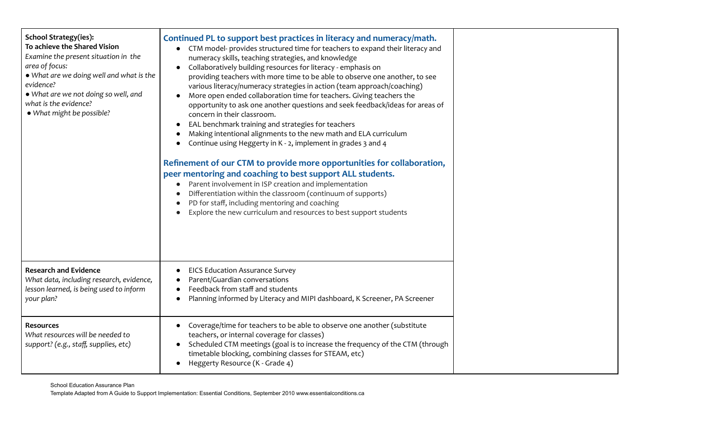| <b>School Strategy(ies):</b><br>To achieve the Shared Vision<br>Examine the present situation in the<br>area of focus:<br>. What are we doing well and what is the<br>evidence?<br>. What are we not doing so well, and<br>what is the evidence?<br>• What might be possible? | Continued PL to support best practices in literacy and numeracy/math.<br>CTM model- provides structured time for teachers to expand their literacy and<br>numeracy skills, teaching strategies, and knowledge<br>Collaboratively building resources for literacy - emphasis on<br>providing teachers with more time to be able to observe one another, to see<br>various literacy/numeracy strategies in action (team approach/coaching)<br>More open ended collaboration time for teachers. Giving teachers the<br>opportunity to ask one another questions and seek feedback/ideas for areas of<br>concern in their classroom.<br>EAL benchmark training and strategies for teachers<br>Making intentional alignments to the new math and ELA curriculum<br>Continue using Heggerty in K - 2, implement in grades 3 and 4<br>Refinement of our CTM to provide more opportunities for collaboration,<br>peer mentoring and coaching to best support ALL students.<br>Parent involvement in ISP creation and implementation<br>Differentiation within the classroom (continuum of supports)<br>PD for staff, including mentoring and coaching<br>Explore the new curriculum and resources to best support students |  |
|-------------------------------------------------------------------------------------------------------------------------------------------------------------------------------------------------------------------------------------------------------------------------------|--------------------------------------------------------------------------------------------------------------------------------------------------------------------------------------------------------------------------------------------------------------------------------------------------------------------------------------------------------------------------------------------------------------------------------------------------------------------------------------------------------------------------------------------------------------------------------------------------------------------------------------------------------------------------------------------------------------------------------------------------------------------------------------------------------------------------------------------------------------------------------------------------------------------------------------------------------------------------------------------------------------------------------------------------------------------------------------------------------------------------------------------------------------------------------------------------------------------|--|
| <b>Research and Evidence</b><br>What data, including research, evidence,<br>lesson learned, is being used to inform<br>your plan?                                                                                                                                             | <b>EICS Education Assurance Survey</b><br>Parent/Guardian conversations<br>Feedback from staff and students<br>Planning informed by Literacy and MIPI dashboard, K Screener, PA Screener                                                                                                                                                                                                                                                                                                                                                                                                                                                                                                                                                                                                                                                                                                                                                                                                                                                                                                                                                                                                                           |  |
| <b>Resources</b><br>What resources will be needed to<br>support? (e.g., staff, supplies, etc)                                                                                                                                                                                 | Coverage/time for teachers to be able to observe one another (substitute<br>teachers, or internal coverage for classes)<br>Scheduled CTM meetings (goal is to increase the frequency of the CTM (through<br>timetable blocking, combining classes for STEAM, etc)<br>Heggerty Resource (K - Grade 4)                                                                                                                                                                                                                                                                                                                                                                                                                                                                                                                                                                                                                                                                                                                                                                                                                                                                                                               |  |

School Education Assurance Plan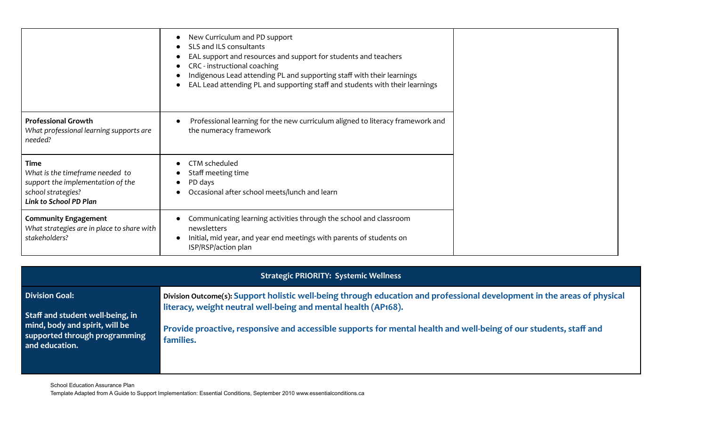|                                                                                                                                     | New Curriculum and PD support<br>$\bullet$<br>SLS and ILS consultants<br>EAL support and resources and support for students and teachers<br>CRC - instructional coaching<br>$\bullet$<br>Indigenous Lead attending PL and supporting staff with their learnings<br>EAL Lead attending PL and supporting staff and students with their learnings |
|-------------------------------------------------------------------------------------------------------------------------------------|-------------------------------------------------------------------------------------------------------------------------------------------------------------------------------------------------------------------------------------------------------------------------------------------------------------------------------------------------|
| <b>Professional Growth</b><br>What professional learning supports are<br>needed?                                                    | Professional learning for the new curriculum aligned to literacy framework and<br>the numeracy framework                                                                                                                                                                                                                                        |
| <b>Time</b><br>What is the timeframe needed to<br>support the implementation of the<br>school strategies?<br>Link to School PD Plan | CTM scheduled<br>$\bullet$<br>Staff meeting time<br>PD days<br>Occasional after school meets/lunch and learn                                                                                                                                                                                                                                    |
| <b>Community Engagement</b><br>What strategies are in place to share with<br>stakeholders?                                          | Communicating learning activities through the school and classroom<br>newsletters<br>Initial, mid year, and year end meetings with parents of students on<br>ISP/RSP/action plan                                                                                                                                                                |

|                                                                                   | <b>Strategic PRIORITY: Systemic Wellness</b>                                                                                                                                               |
|-----------------------------------------------------------------------------------|--------------------------------------------------------------------------------------------------------------------------------------------------------------------------------------------|
| <b>Division Goal:</b><br>Staff and student well-being, in                         | Division Outcome(s): Support holistic well-being through education and professional development in the areas of physical<br>literacy, weight neutral well-being and mental health (AP168). |
| mind, body and spirit, will be<br>supported through programming<br>and education. | Provide proactive, responsive and accessible supports for mental health and well-being of our students, staff and<br>families.                                                             |

School Education Assurance Plan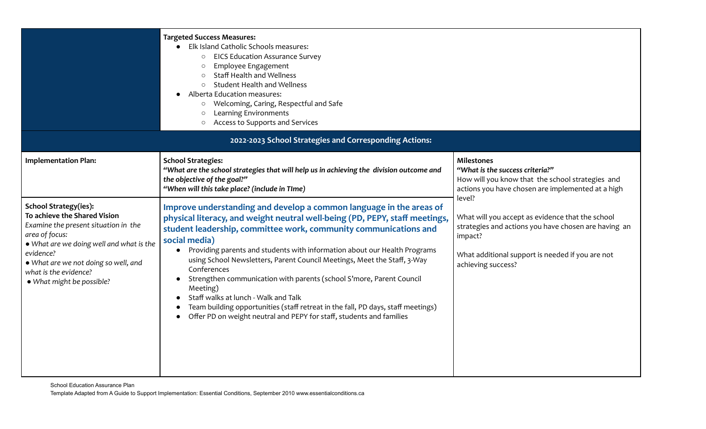|                                                                                                                                                                                                                                                                               | <b>Targeted Success Measures:</b><br>Elk Island Catholic Schools measures:<br><b>EICS Education Assurance Survey</b><br>$\circ$<br>Employee Engagement<br>$\circ$<br><b>Staff Health and Wellness</b><br>$\circ$<br><b>Student Health and Wellness</b><br>$\circ$<br>Alberta Education measures:<br>Welcoming, Caring, Respectful and Safe<br>$\circ$<br>Learning Environments<br>$\circlearrowright$<br>Access to Supports and Services<br>$\circ$<br>2022-2023 School Strategies and Corresponding Actions:                                                                                                                                                                                                                     |                                                                                                                                                                                               |
|-------------------------------------------------------------------------------------------------------------------------------------------------------------------------------------------------------------------------------------------------------------------------------|-----------------------------------------------------------------------------------------------------------------------------------------------------------------------------------------------------------------------------------------------------------------------------------------------------------------------------------------------------------------------------------------------------------------------------------------------------------------------------------------------------------------------------------------------------------------------------------------------------------------------------------------------------------------------------------------------------------------------------------|-----------------------------------------------------------------------------------------------------------------------------------------------------------------------------------------------|
|                                                                                                                                                                                                                                                                               |                                                                                                                                                                                                                                                                                                                                                                                                                                                                                                                                                                                                                                                                                                                                   |                                                                                                                                                                                               |
| <b>Implementation Plan:</b>                                                                                                                                                                                                                                                   | <b>School Strategies:</b><br>"What are the school strategies that will help us in achieving the division outcome and<br>the objective of the goal?"<br>"When will this take place? (include in TIme)                                                                                                                                                                                                                                                                                                                                                                                                                                                                                                                              | <b>Milestones</b><br>"What is the success criteria?"<br>How will you know that the school strategies and<br>actions you have chosen are implemented at a high<br>level?                       |
| <b>School Strategy(ies):</b><br>To achieve the Shared Vision<br>Examine the present situation in the<br>area of focus:<br>. What are we doing well and what is the<br>evidence?<br>. What are we not doing so well, and<br>what is the evidence?<br>• What might be possible? | Improve understanding and develop a common language in the areas of<br>physical literacy, and weight neutral well-being (PD, PEPY, staff meetings,<br>student leadership, committee work, community communications and<br>social media)<br>Providing parents and students with information about our Health Programs<br>$\bullet$<br>using School Newsletters, Parent Council Meetings, Meet the Staff, 3-Way<br>Conferences<br>Strengthen communication with parents (school S'more, Parent Council<br>$\bullet$<br>Meeting)<br>Staff walks at lunch - Walk and Talk<br>Team building opportunities (staff retreat in the fall, PD days, staff meetings)<br>Offer PD on weight neutral and PEPY for staff, students and families | What will you accept as evidence that the school<br>strategies and actions you have chosen are having an<br>impact?<br>What additional support is needed if you are not<br>achieving success? |

School Education Assurance Plan Template Adapted from A Guide to Support Implementation: Essential Conditions, September 2010 www.essentialconditions.ca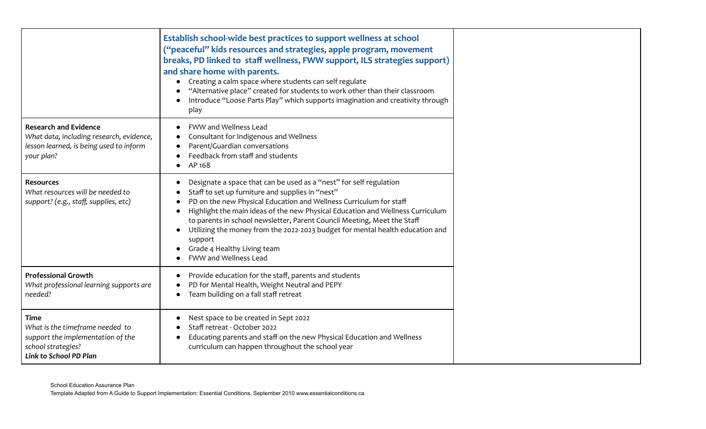|                                                                                                                                     | Establish school-wide best practices to support wellness at school<br>("peaceful" kids resources and strategies, apple program, movement<br>breaks, PD linked to staff wellness, FWW support, ILS strategies support)<br>and share home with parents.<br>• Creating a calm space where students can self regulate<br>"Alternative place" created for students to work other than their classroom<br>Introduce "Loose Parts Play" which supports imagination and creativity through<br>play                    |
|-------------------------------------------------------------------------------------------------------------------------------------|---------------------------------------------------------------------------------------------------------------------------------------------------------------------------------------------------------------------------------------------------------------------------------------------------------------------------------------------------------------------------------------------------------------------------------------------------------------------------------------------------------------|
| <b>Research and Evidence</b><br>What data, including research, evidence,<br>lesson learned, is being used to inform<br>your plan?   | <b>FWW and Wellness Lead</b><br>Consultant for Indigenous and Wellness<br>Parent/Guardian conversations<br>Feedback from staff and students<br>AP 168<br>$\bullet$                                                                                                                                                                                                                                                                                                                                            |
| <b>Resources</b><br>What resources will be needed to<br>support? (e.g., staff, supplies, etc)                                       | Designate a space that can be used as a "nest" for self regulation<br>Staff to set up furniture and supplies in "nest"<br>PD on the new Physical Education and Wellness Curriculum for staff<br>Highlight the main ideas of the new Physical Education and Wellness Curriculum<br>to parents in school newsletter, Parent Council Meeting, Meet the Staff<br>Utilizing the money from the 2022-2023 budget for mental health education and<br>support<br>Grade 4 Healthy Living team<br>FWW and Wellness Lead |
| <b>Professional Growth</b><br>What professional learning supports are<br>needed?                                                    | Provide education for the staff, parents and students<br>PD for Mental Health, Weight Neutral and PEPY<br>Team building on a fall staff retreat                                                                                                                                                                                                                                                                                                                                                               |
| <b>Time</b><br>What is the timeframe needed to<br>support the implementation of the<br>school strategies?<br>Link to School PD Plan | Nest space to be created in Sept 2022<br>Staff retreat - October 2022<br>Educating parents and staff on the new Physical Education and Wellness<br>curriculum can happen throughout the school year                                                                                                                                                                                                                                                                                                           |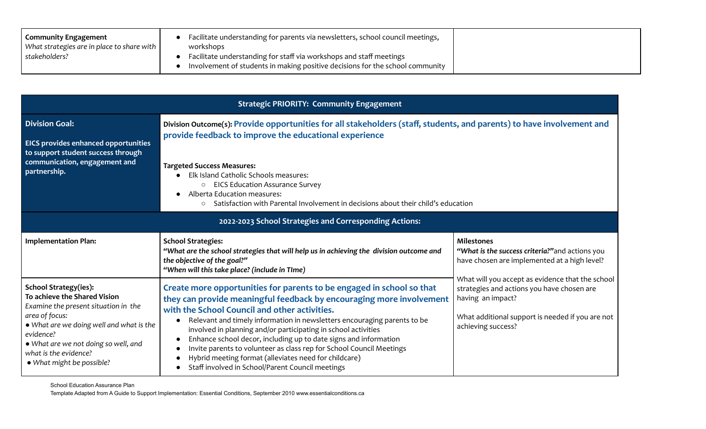| <b>Community Engagement</b>                        | Facilitate understanding for parents via newsletters, school council meetings,                                                                       |
|----------------------------------------------------|------------------------------------------------------------------------------------------------------------------------------------------------------|
| What strategies are in place to share with $\vert$ | workshops                                                                                                                                            |
| stakeholders?                                      | Facilitate understanding for staff via workshops and staff meetings<br>Involvement of students in making positive decisions for the school community |

|                                                                                                                                                                                                                                                                               | <b>Strategic PRIORITY: Community Engagement</b>                                                                                                                                                                                                                                                                                                                                                                                                                                                                                                                                                                    |                                                                                                                                                                                                                                                                                                                       |  |
|-------------------------------------------------------------------------------------------------------------------------------------------------------------------------------------------------------------------------------------------------------------------------------|--------------------------------------------------------------------------------------------------------------------------------------------------------------------------------------------------------------------------------------------------------------------------------------------------------------------------------------------------------------------------------------------------------------------------------------------------------------------------------------------------------------------------------------------------------------------------------------------------------------------|-----------------------------------------------------------------------------------------------------------------------------------------------------------------------------------------------------------------------------------------------------------------------------------------------------------------------|--|
| <b>Division Goal:</b><br><b>EICS provides enhanced opportunities</b><br>to support student success through<br>communication, engagement and<br>partnership.                                                                                                                   | Division Outcome(s): Provide opportunities for all stakeholders (staff, students, and parents) to have involvement and<br>provide feedback to improve the educational experience<br><b>Targeted Success Measures:</b><br>Elk Island Catholic Schools measures:<br><b>EICS Education Assurance Survey</b><br>$\circ$<br>Alberta Education measures:<br>Satisfaction with Parental Involvement in decisions about their child's education                                                                                                                                                                            |                                                                                                                                                                                                                                                                                                                       |  |
|                                                                                                                                                                                                                                                                               | 2022-2023 School Strategies and Corresponding Actions:                                                                                                                                                                                                                                                                                                                                                                                                                                                                                                                                                             |                                                                                                                                                                                                                                                                                                                       |  |
| <b>Implementation Plan:</b>                                                                                                                                                                                                                                                   | <b>School Strategies:</b><br>"What are the school strategies that will help us in achieving the division outcome and<br>the objective of the goal?"<br>"When will this take place? (include in TIme)                                                                                                                                                                                                                                                                                                                                                                                                               | <b>Milestones</b><br>"What is the success criteria?" and actions you<br>have chosen are implemented at a high level?<br>What will you accept as evidence that the school<br>strategies and actions you have chosen are<br>having an impact?<br>What additional support is needed if you are not<br>achieving success? |  |
| <b>School Strategy(ies):</b><br>To achieve the Shared Vision<br>Examine the present situation in the<br>area of focus:<br>. What are we doing well and what is the<br>evidence?<br>• What are we not doing so well, and<br>what is the evidence?<br>• What might be possible? | Create more opportunities for parents to be engaged in school so that<br>they can provide meaningful feedback by encouraging more involvement<br>with the School Council and other activities.<br>Relevant and timely information in newsletters encouraging parents to be<br>$\bullet$<br>involved in planning and/or participating in school activities<br>Enhance school decor, including up to date signs and information<br>Invite parents to volunteer as class rep for School Council Meetings<br>Hybrid meeting format (alleviates need for childcare)<br>Staff involved in School/Parent Council meetings |                                                                                                                                                                                                                                                                                                                       |  |

School Education Assurance Plan